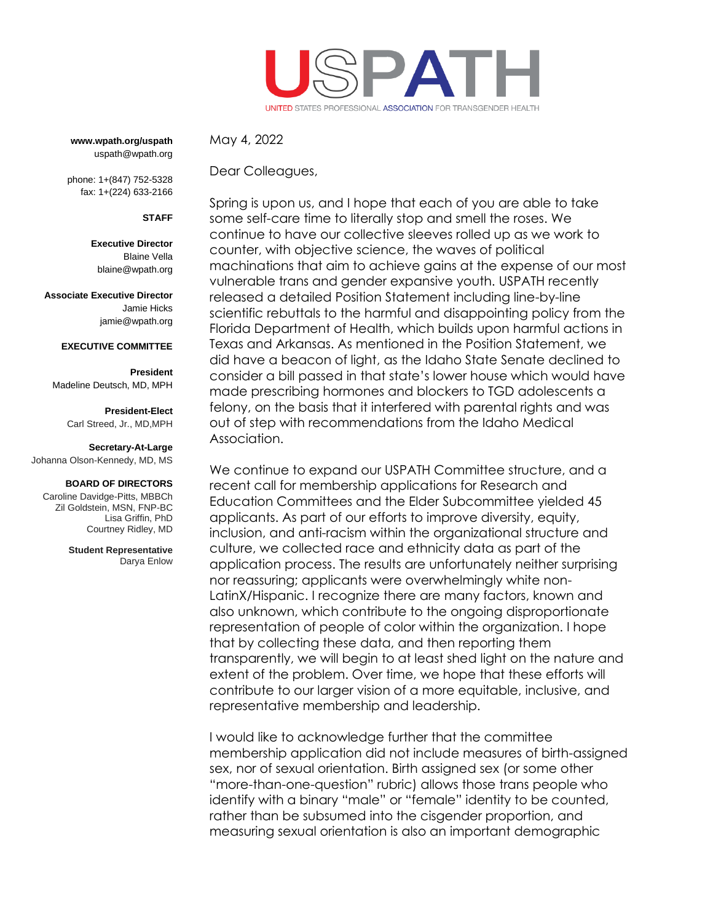

**www.wpath.org/uspath** uspath@wpath.org

phone: 1+(847) 752-5328 fax: 1+(224) 633-2166

**STAFF**

**Executive Director** Blaine Vella [blaine@wpath.org](mailto:blaine@wpath.org)

**Associate Executive Director** Jamie Hicks jamie@wpath.org

### **EXECUTIVE COMMITTEE**

**President** Madeline Deutsch, MD, MPH

> **President-Elect** Carl Streed, Jr., MD,MPH

#### **Secretary-At-Large**

Johanna Olson-Kennedy, MD, MS

#### **BOARD OF DIRECTORS**

Caroline Davidge-Pitts, MBBCh Zil Goldstein, MSN, FNP-BC Lisa Griffin, PhD Courtney Ridley, MD

> **Student Representative** Darya Enlow

Dear Colleagues,

May 4, 2022

Spring is upon us, and I hope that each of you are able to take some self-care time to literally stop and smell the roses. We continue to have our collective sleeves rolled up as we work to counter, with objective science, the waves of political machinations that aim to achieve gains at the expense of our most vulnerable trans and gender expansive youth. USPATH recently released a detailed Position Statement including line-by-line scientific rebuttals to the harmful and disappointing policy from the Florida Department of Health, which builds upon harmful actions in Texas and Arkansas. As mentioned in the Position Statement, we did have a beacon of light, as the Idaho State Senate declined to consider a bill passed in that state's lower house which would have made prescribing hormones and blockers to TGD adolescents a felony, on the basis that it interfered with parental rights and was out of step with recommendations from the Idaho Medical Association.

We continue to expand our USPATH Committee structure, and a recent call for membership applications for Research and Education Committees and the Elder Subcommittee yielded 45 applicants. As part of our efforts to improve diversity, equity, inclusion, and anti-racism within the organizational structure and culture, we collected race and ethnicity data as part of the application process. The results are unfortunately neither surprising nor reassuring; applicants were overwhelmingly white non-LatinX/Hispanic. I recognize there are many factors, known and also unknown, which contribute to the ongoing disproportionate representation of people of color within the organization. I hope that by collecting these data, and then reporting them transparently, we will begin to at least shed light on the nature and extent of the problem. Over time, we hope that these efforts will contribute to our larger vision of a more equitable, inclusive, and representative membership and leadership.

I would like to acknowledge further that the committee membership application did not include measures of birth-assigned sex, nor of sexual orientation. Birth assigned sex (or some other "more-than-one-question" rubric) allows those trans people who identify with a binary "male" or "female" identity to be counted, rather than be subsumed into the cisgender proportion, and measuring sexual orientation is also an important demographic